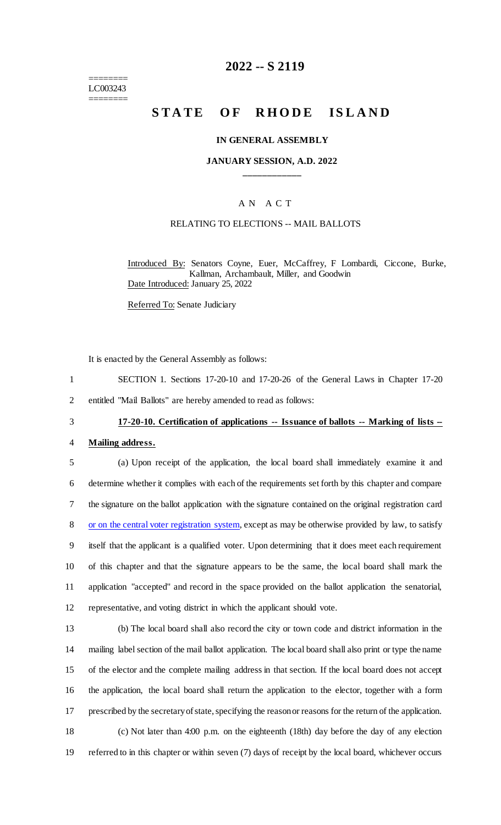======== LC003243 ========

## **2022 -- S 2119**

# **STATE OF RHODE ISLAND**

#### **IN GENERAL ASSEMBLY**

#### **JANUARY SESSION, A.D. 2022 \_\_\_\_\_\_\_\_\_\_\_\_**

### A N A C T

### RELATING TO ELECTIONS -- MAIL BALLOTS

Introduced By: Senators Coyne, Euer, McCaffrey, F Lombardi, Ciccone, Burke, Kallman, Archambault, Miller, and Goodwin Date Introduced: January 25, 2022

Referred To: Senate Judiciary

It is enacted by the General Assembly as follows:

- 1 SECTION 1. Sections 17-20-10 and 17-20-26 of the General Laws in Chapter 17-20
- 2 entitled "Mail Ballots" are hereby amended to read as follows:

# 3 **17-20-10. Certification of applications -- Issuance of ballots -- Marking of lists --**

- 4 **Mailing address.**
- 5 (a) Upon receipt of the application, the local board shall immediately examine it and 6 determine whether it complies with each of the requirements set forth by this chapter and compare 7 the signature on the ballot application with the signature contained on the original registration card 8 or on the central voter registration system, except as may be otherwise provided by law, to satisfy 9 itself that the applicant is a qualified voter. Upon determining that it does meet each requirement 10 of this chapter and that the signature appears to be the same, the local board shall mark the 11 application "accepted" and record in the space provided on the ballot application the senatorial, 12 representative, and voting district in which the applicant should vote.
- 13 (b) The local board shall also record the city or town code and district information in the 14 mailing label section of the mail ballot application. The local board shall also print or type the name 15 of the elector and the complete mailing address in that section. If the local board does not accept 16 the application, the local board shall return the application to the elector, together with a form 17 prescribed by the secretary of state, specifying the reason or reasons for the return of the application. 18 (c) Not later than 4:00 p.m. on the eighteenth (18th) day before the day of any election 19 referred to in this chapter or within seven (7) days of receipt by the local board, whichever occurs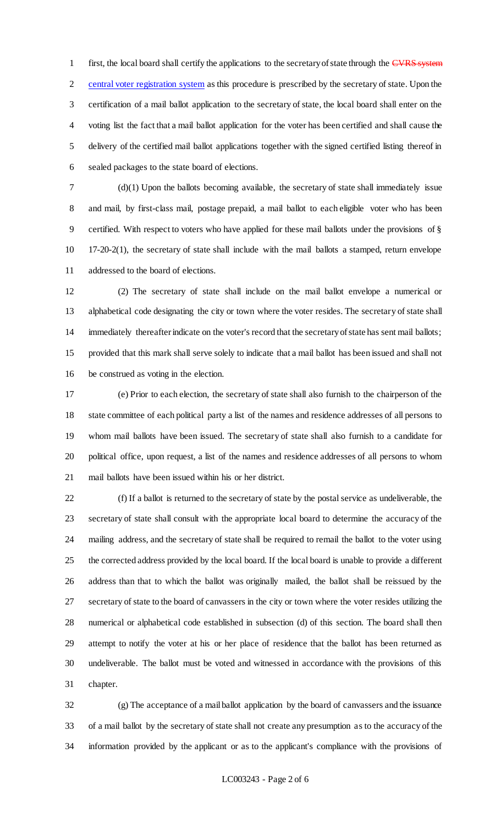1 first, the local board shall certify the applications to the secretary of state through the CVRS system central voter registration system as this procedure is prescribed by the secretary of state. Upon the certification of a mail ballot application to the secretary of state, the local board shall enter on the voting list the fact that a mail ballot application for the voter has been certified and shall cause the delivery of the certified mail ballot applications together with the signed certified listing thereof in sealed packages to the state board of elections.

 (d)(1) Upon the ballots becoming available, the secretary of state shall immediately issue and mail, by first-class mail, postage prepaid, a mail ballot to each eligible voter who has been certified. With respect to voters who have applied for these mail ballots under the provisions of § 17-20-2(1), the secretary of state shall include with the mail ballots a stamped, return envelope addressed to the board of elections.

 (2) The secretary of state shall include on the mail ballot envelope a numerical or alphabetical code designating the city or town where the voter resides. The secretary of state shall immediately thereafter indicate on the voter's record that the secretary of state has sent mail ballots; provided that this mark shall serve solely to indicate that a mail ballot has been issued and shall not be construed as voting in the election.

 (e) Prior to each election, the secretary of state shall also furnish to the chairperson of the state committee of each political party a list of the names and residence addresses of all persons to whom mail ballots have been issued. The secretary of state shall also furnish to a candidate for political office, upon request, a list of the names and residence addresses of all persons to whom mail ballots have been issued within his or her district.

 (f) If a ballot is returned to the secretary of state by the postal service as undeliverable, the secretary of state shall consult with the appropriate local board to determine the accuracy of the mailing address, and the secretary of state shall be required to remail the ballot to the voter using the corrected address provided by the local board. If the local board is unable to provide a different address than that to which the ballot was originally mailed, the ballot shall be reissued by the secretary of state to the board of canvassers in the city or town where the voter resides utilizing the numerical or alphabetical code established in subsection (d) of this section. The board shall then attempt to notify the voter at his or her place of residence that the ballot has been returned as undeliverable. The ballot must be voted and witnessed in accordance with the provisions of this chapter.

 (g) The acceptance of a mail ballot application by the board of canvassers and the issuance of a mail ballot by the secretary of state shall not create any presumption as to the accuracy of the information provided by the applicant or as to the applicant's compliance with the provisions of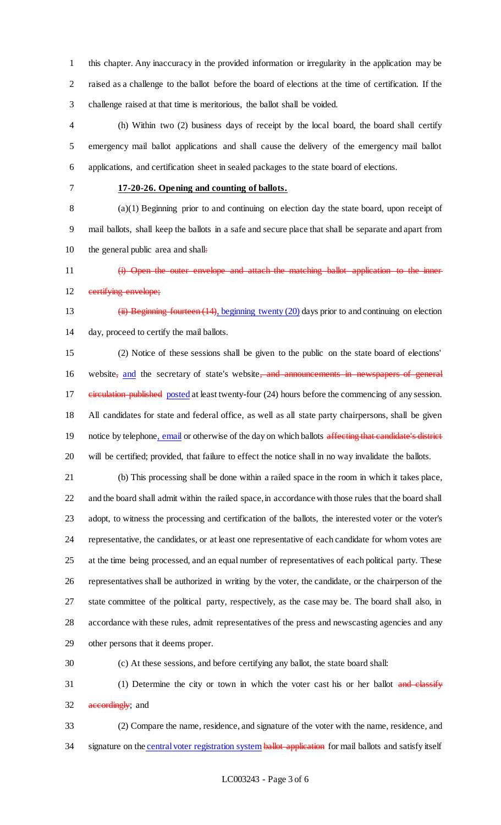this chapter. Any inaccuracy in the provided information or irregularity in the application may be raised as a challenge to the ballot before the board of elections at the time of certification. If the challenge raised at that time is meritorious, the ballot shall be voided.

 (h) Within two (2) business days of receipt by the local board, the board shall certify emergency mail ballot applications and shall cause the delivery of the emergency mail ballot applications, and certification sheet in sealed packages to the state board of elections.

### **17-20-26. Opening and counting of ballots.**

 (a)(1) Beginning prior to and continuing on election day the state board, upon receipt of mail ballots, shall keep the ballots in a safe and secure place that shall be separate and apart from 10 the general public area and shall:

 (i) Open the outer envelope and attach the matching ballot application to the inner 12 eertifying envelope;

 (ii) Beginning fourteen (14), beginning twenty (20) days prior to and continuing on election day, proceed to certify the mail ballots.

 (2) Notice of these sessions shall be given to the public on the state board of elections' 16 website<sub>s</sub> and the secretary of state's website, and announcements in newspapers of general 17 eineulation published posted at least twenty-four (24) hours before the commencing of any session. All candidates for state and federal office, as well as all state party chairpersons, shall be given 19 notice by telephone, email or otherwise of the day on which ballots affecting that candidate's district will be certified; provided, that failure to effect the notice shall in no way invalidate the ballots.

 (b) This processing shall be done within a railed space in the room in which it takes place, and the board shall admit within the railed space, in accordance with those rules that the board shall adopt, to witness the processing and certification of the ballots, the interested voter or the voter's representative, the candidates, or at least one representative of each candidate for whom votes are at the time being processed, and an equal number of representatives of each political party. These representatives shall be authorized in writing by the voter, the candidate, or the chairperson of the state committee of the political party, respectively, as the case may be. The board shall also, in accordance with these rules, admit representatives of the press and newscasting agencies and any other persons that it deems proper.

(c) At these sessions, and before certifying any ballot, the state board shall:

31 (1) Determine the city or town in which the voter cast his or her ballot and classify 32 accordingly; and

 (2) Compare the name, residence, and signature of the voter with the name, residence, and 34 signature on the central voter registration system ballot application for mail ballots and satisfy itself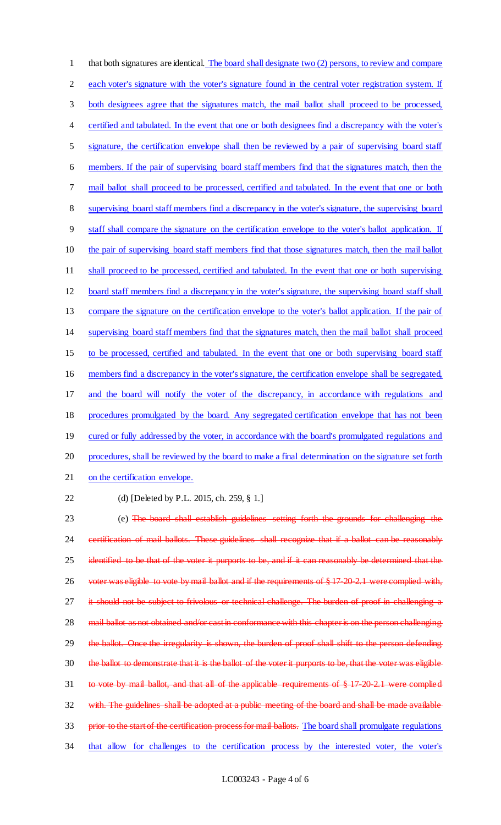that both signatures are identical. The board shall designate two (2) persons, to review and compare 2 each voter's signature with the voter's signature found in the central voter registration system. If both designees agree that the signatures match, the mail ballot shall proceed to be processed, certified and tabulated. In the event that one or both designees find a discrepancy with the voter's signature, the certification envelope shall then be reviewed by a pair of supervising board staff members. If the pair of supervising board staff members find that the signatures match, then the mail ballot shall proceed to be processed, certified and tabulated. In the event that one or both supervising board staff members find a discrepancy in the voter's signature, the supervising board staff shall compare the signature on the certification envelope to the voter's ballot application. If the pair of supervising board staff members find that those signatures match, then the mail ballot 11 shall proceed to be processed, certified and tabulated. In the event that one or both supervising board staff members find a discrepancy in the voter's signature, the supervising board staff shall compare the signature on the certification envelope to the voter's ballot application. If the pair of supervising board staff members find that the signatures match, then the mail ballot shall proceed to be processed, certified and tabulated. In the event that one or both supervising board staff members find a discrepancy in the voter's signature, the certification envelope shall be segregated, and the board will notify the voter of the discrepancy, in accordance with regulations and procedures promulgated by the board. Any segregated certification envelope that has not been 19 cured or fully addressed by the voter, in accordance with the board's promulgated regulations and procedures, shall be reviewed by the board to make a final determination on the signature set forth on the certification envelope. (d) [Deleted by P.L. 2015, ch. 259, § 1.] (e) The board shall establish guidelines setting forth the grounds for challenging the certification of mail ballots. These guidelines shall recognize that if a ballot can be reasonably 25 identified to be that of the voter it purports to be, and if it can reasonably be determined that the 26 voter was eligible to vote by mail ballot and if the requirements of § 17-20-2.1 were complied with,

27 it should not be subject to frivolous or technical challenge. The burden of proof in challenging a 28 mail ballot as not obtained and/or cast in conformance with this chapter is on the person challenging 29 the ballot. Once the irregularity is shown, the burden of proof shall shift to the person defending 30 the ballot to demonstrate that it is the ballot of the voter it purports to be, that the voter was eligible to vote by mail ballot, and that all of the applicable requirements of § 17-20-2.1 were complied 32 with. The guidelines shall be adopted at a public meeting of the board and shall be made available 33 prior to the start of the certification process for mail ballots. The board shall promulgate regulations that allow for challenges to the certification process by the interested voter, the voter's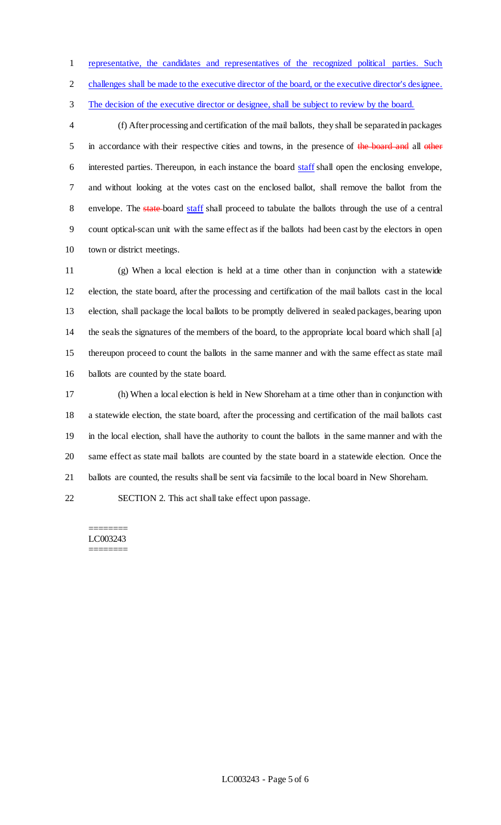representative, the candidates and representatives of the recognized political parties. Such

challenges shall be made to the executive director of the board, or the executive director's designee.

The decision of the executive director or designee, shall be subject to review by the board.

 (f) After processing and certification of the mail ballots, they shall be separated in packages 5 in accordance with their respective cities and towns, in the presence of the board and all other 6 interested parties. Thereupon, in each instance the board staff shall open the enclosing envelope, and without looking at the votes cast on the enclosed ballot, shall remove the ballot from the 8 envelope. The state-board staff shall proceed to tabulate the ballots through the use of a central count optical-scan unit with the same effect as if the ballots had been cast by the electors in open town or district meetings.

 (g) When a local election is held at a time other than in conjunction with a statewide election, the state board, after the processing and certification of the mail ballots cast in the local election, shall package the local ballots to be promptly delivered in sealed packages, bearing upon the seals the signatures of the members of the board, to the appropriate local board which shall [a] thereupon proceed to count the ballots in the same manner and with the same effect as state mail ballots are counted by the state board.

 (h) When a local election is held in New Shoreham at a time other than in conjunction with a statewide election, the state board, after the processing and certification of the mail ballots cast in the local election, shall have the authority to count the ballots in the same manner and with the same effect as state mail ballots are counted by the state board in a statewide election. Once the ballots are counted, the results shall be sent via facsimile to the local board in New Shoreham.

SECTION 2. This act shall take effect upon passage.

#### ======== LC003243

========